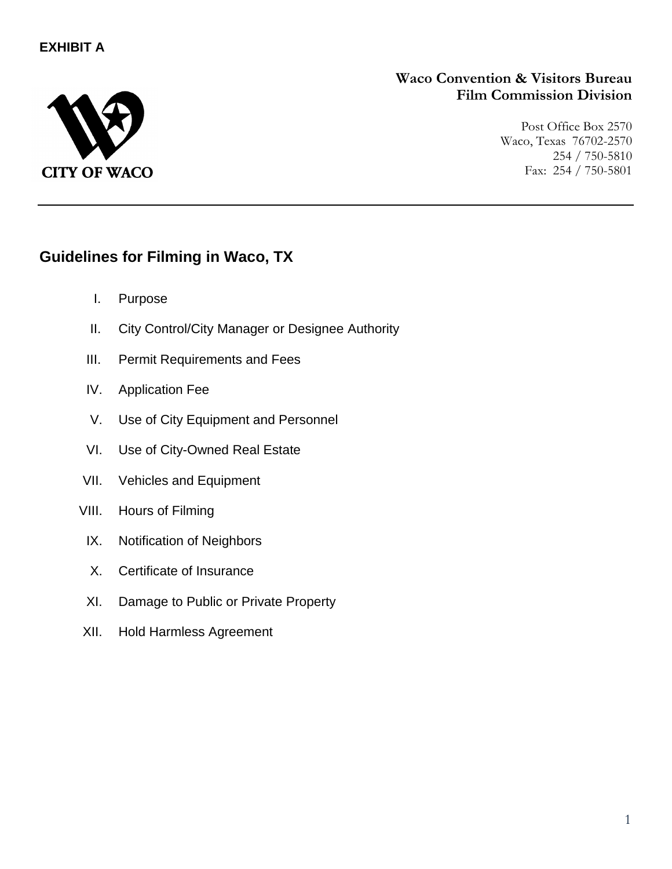# **EXHIBIT A**



# **Waco Convention & Visitors Bureau Film Commission Division**

Post Office Box 2570 Waco, Texas 76702-2570 254 / 750-5810 Fax: 254 / 750-5801

# **Guidelines for Filming in Waco, TX**

- I. Purpose
- II. City Control/City Manager or Designee Authority
- III. Permit Requirements and Fees
- IV. Application Fee
- V. Use of City Equipment and Personnel
- VI. Use of City-Owned Real Estate
- VII. Vehicles and Equipment
- VIII. Hours of Filming
- IX. Notification of Neighbors
- X. Certificate of Insurance
- XI. Damage to Public or Private Property
- XII. Hold Harmless Agreement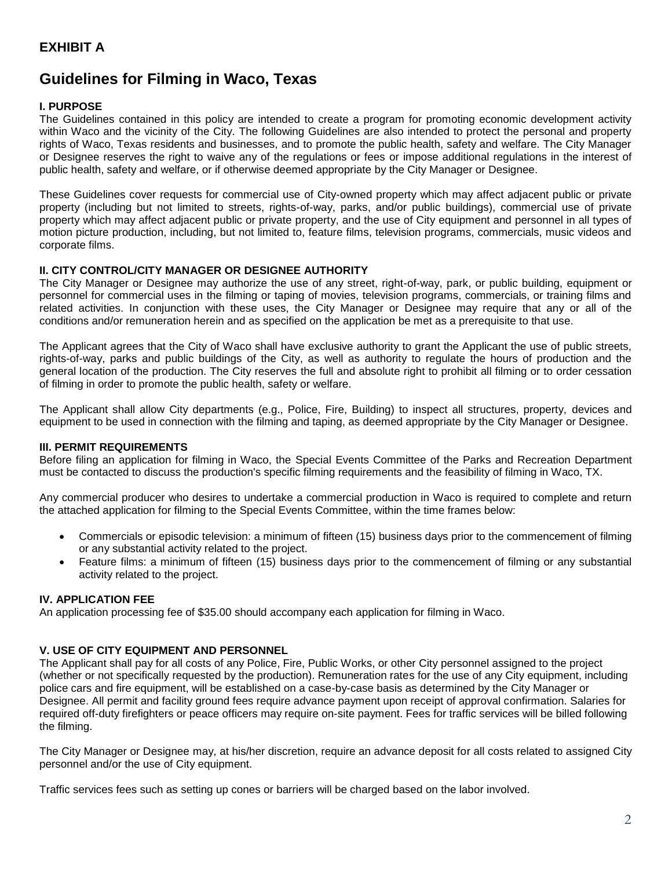# **EXHIBIT A**

# **Guidelines for Filming in Waco, Texas**

### **I. PURPOSE**

The Guidelines contained in this policy are intended to create a program for promoting economic development activity within Waco and the vicinity of the City. The following Guidelines are also intended to protect the personal and property rights of Waco, Texas residents and businesses, and to promote the public health, safety and welfare. The City Manager or Designee reserves the right to waive any of the regulations or fees or impose additional regulations in the interest of public health, safety and welfare, or if otherwise deemed appropriate by the City Manager or Designee.

These Guidelines cover requests for commercial use of City-owned property which may affect adjacent public or private property (including but not limited to streets, rights-of-way, parks, and/or public buildings), commercial use of private property which may affect adjacent public or private property, and the use of City equipment and personnel in all types of motion picture production, including, but not limited to, feature films, television programs, commercials, music videos and corporate films.

### **II. CITY CONTROL/CITY MANAGER OR DESIGNEE AUTHORITY**

The City Manager or Designee may authorize the use of any street, right-of-way, park, or public building, equipment or personnel for commercial uses in the filming or taping of movies, television programs, commercials, or training films and related activities. In conjunction with these uses, the City Manager or Designee may require that any or all of the conditions and/or remuneration herein and as specified on the application be met as a prerequisite to that use.

The Applicant agrees that the City of Waco shall have exclusive authority to grant the Applicant the use of public streets, rights-of-way, parks and public buildings of the City, as well as authority to regulate the hours of production and the general location of the production. The City reserves the full and absolute right to prohibit all filming or to order cessation of filming in order to promote the public health, safety or welfare.

The Applicant shall allow City departments (e.g., Police, Fire, Building) to inspect all structures, property, devices and equipment to be used in connection with the filming and taping, as deemed appropriate by the City Manager or Designee.

### **III. PERMIT REQUIREMENTS**

Before filing an application for filming in Waco, the Special Events Committee of the Parks and Recreation Department must be contacted to discuss the production's specific filming requirements and the feasibility of filming in Waco, TX.

Any commercial producer who desires to undertake a commercial production in Waco is required to complete and return the attached application for filming to the Special Events Committee, within the time frames below:

- Commercials or episodic television: a minimum of fifteen (15) business days prior to the commencement of filming or any substantial activity related to the project.
- Feature films: a minimum of fifteen (15) business days prior to the commencement of filming or any substantial activity related to the project.

## **IV. APPLICATION FEE**

An application processing fee of \$35.00 should accompany each application for filming in Waco.

### **V. USE OF CITY EQUIPMENT AND PERSONNEL**

The Applicant shall pay for all costs of any Police, Fire, Public Works, or other City personnel assigned to the project (whether or not specifically requested by the production). Remuneration rates for the use of any City equipment, including police cars and fire equipment, will be established on a case-by-case basis as determined by the City Manager or Designee. All permit and facility ground fees require advance payment upon receipt of approval confirmation. Salaries for required off-duty firefighters or peace officers may require on-site payment. Fees for traffic services will be billed following the filming.

The City Manager or Designee may, at his/her discretion, require an advance deposit for all costs related to assigned City personnel and/or the use of City equipment.

Traffic services fees such as setting up cones or barriers will be charged based on the labor involved.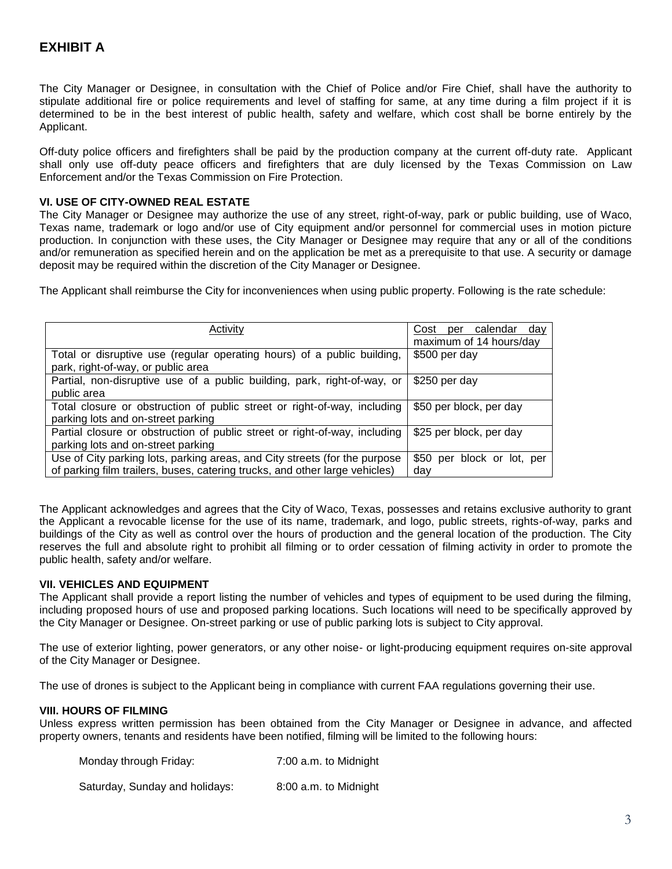The City Manager or Designee, in consultation with the Chief of Police and/or Fire Chief, shall have the authority to stipulate additional fire or police requirements and level of staffing for same, at any time during a film project if it is determined to be in the best interest of public health, safety and welfare, which cost shall be borne entirely by the Applicant.

Off-duty police officers and firefighters shall be paid by the production company at the current off-duty rate. Applicant shall only use off-duty peace officers and firefighters that are duly licensed by the Texas Commission on Law Enforcement and/or the Texas Commission on Fire Protection.

### **VI. USE OF CITY-OWNED REAL ESTATE**

The City Manager or Designee may authorize the use of any street, right-of-way, park or public building, use of Waco, Texas name, trademark or logo and/or use of City equipment and/or personnel for commercial uses in motion picture production. In conjunction with these uses, the City Manager or Designee may require that any or all of the conditions and/or remuneration as specified herein and on the application be met as a prerequisite to that use. A security or damage deposit may be required within the discretion of the City Manager or Designee.

The Applicant shall reimburse the City for inconveniences when using public property. Following is the rate schedule:

| Activity                                                                                                                                                  | calendar<br>Cost per<br>dav<br>maximum of 14 hours/day |  |  |
|-----------------------------------------------------------------------------------------------------------------------------------------------------------|--------------------------------------------------------|--|--|
| Total or disruptive use (regular operating hours) of a public building,<br>park, right-of-way, or public area                                             | \$500 per day                                          |  |  |
| Partial, non-disruptive use of a public building, park, right-of-way, or<br>public area                                                                   | \$250 per day                                          |  |  |
| Total closure or obstruction of public street or right-of-way, including<br>parking lots and on-street parking                                            | \$50 per block, per day                                |  |  |
| Partial closure or obstruction of public street or right-of-way, including<br>parking lots and on-street parking                                          | \$25 per block, per day                                |  |  |
| Use of City parking lots, parking areas, and City streets (for the purpose<br>of parking film trailers, buses, catering trucks, and other large vehicles) | \$50 per block or lot, per<br>dav                      |  |  |

The Applicant acknowledges and agrees that the City of Waco, Texas, possesses and retains exclusive authority to grant the Applicant a revocable license for the use of its name, trademark, and logo, public streets, rights-of-way, parks and buildings of the City as well as control over the hours of production and the general location of the production. The City reserves the full and absolute right to prohibit all filming or to order cessation of filming activity in order to promote the public health, safety and/or welfare.

### **VII. VEHICLES AND EQUIPMENT**

The Applicant shall provide a report listing the number of vehicles and types of equipment to be used during the filming, including proposed hours of use and proposed parking locations. Such locations will need to be specifically approved by the City Manager or Designee. On-street parking or use of public parking lots is subject to City approval.

The use of exterior lighting, power generators, or any other noise- or light-producing equipment requires on-site approval of the City Manager or Designee.

The use of drones is subject to the Applicant being in compliance with current FAA regulations governing their use.

#### **VIII. HOURS OF FILMING**

Unless express written permission has been obtained from the City Manager or Designee in advance, and affected property owners, tenants and residents have been notified, filming will be limited to the following hours:

| Monday through Friday:         | 7:00 a.m. to Midnight |
|--------------------------------|-----------------------|
| Saturday, Sunday and holidays: | 8:00 a.m. to Midnight |